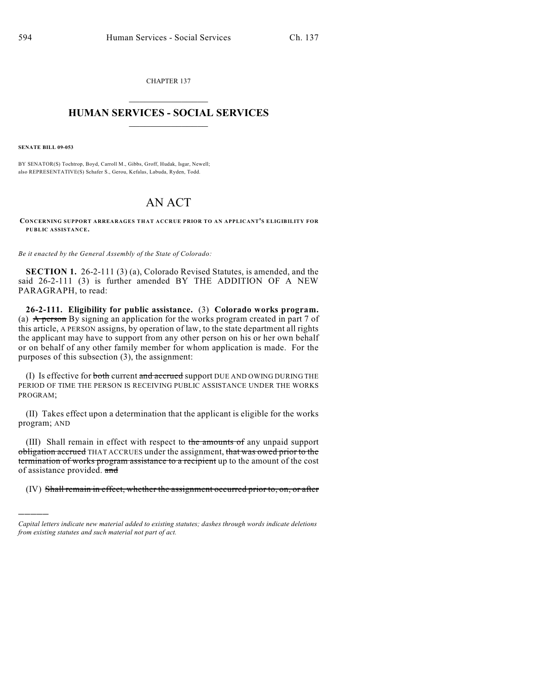CHAPTER 137  $\mathcal{L}_\text{max}$  . The set of the set of the set of the set of the set of the set of the set of the set of the set of the set of the set of the set of the set of the set of the set of the set of the set of the set of the set

## **HUMAN SERVICES - SOCIAL SERVICES**  $\frac{1}{2}$  ,  $\frac{1}{2}$  ,  $\frac{1}{2}$  ,  $\frac{1}{2}$  ,  $\frac{1}{2}$  ,  $\frac{1}{2}$  ,  $\frac{1}{2}$

**SENATE BILL 09-053**

)))))

BY SENATOR(S) Tochtrop, Boyd, Carroll M., Gibbs, Groff, Hudak, Isgar, Newell; also REPRESENTATIVE(S) Schafer S., Gerou, Kefalas, Labuda, Ryden, Todd.

## AN ACT

**CONCERNING SUPPORT ARREARAGES THAT ACCRUE PRIOR TO AN APPLICANT'S ELIGIBILITY FOR PUBLIC ASSISTANCE.**

*Be it enacted by the General Assembly of the State of Colorado:*

**SECTION 1.** 26-2-111 (3) (a), Colorado Revised Statutes, is amended, and the said 26-2-111 (3) is further amended BY THE ADDITION OF A NEW PARAGRAPH, to read:

**26-2-111. Eligibility for public assistance.** (3) **Colorado works program.** (a) A person By signing an application for the works program created in part 7 of this article, A PERSON assigns, by operation of law, to the state department all rights the applicant may have to support from any other person on his or her own behalf or on behalf of any other family member for whom application is made. For the purposes of this subsection (3), the assignment:

(I) Is effective for both current and accrued support DUE AND OWING DURING THE PERIOD OF TIME THE PERSON IS RECEIVING PUBLIC ASSISTANCE UNDER THE WORKS PROGRAM;

(II) Takes effect upon a determination that the applicant is eligible for the works program; AND

(III) Shall remain in effect with respect to the amounts of any unpaid support obligation accrued THAT ACCRUES under the assignment, that was owed prior to the termination of works program assistance to a recipient up to the amount of the cost of assistance provided. and

(IV) Shall remain in effect, whether the assignment occurred prior to, on, or after

*Capital letters indicate new material added to existing statutes; dashes through words indicate deletions from existing statutes and such material not part of act.*